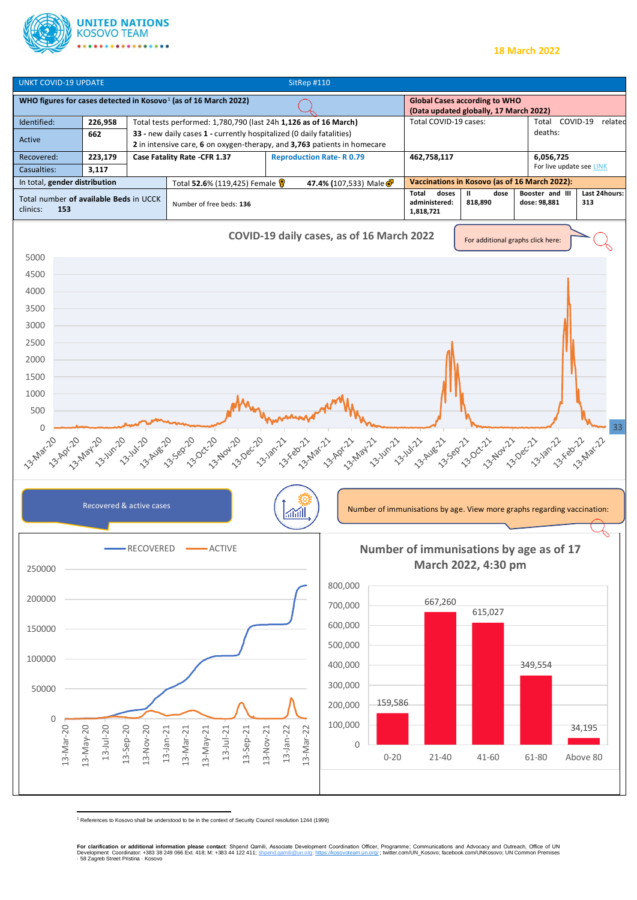

## **18 March 2022**



<sup>1</sup> References to Kosovo shall be understood to be in the context of Security Council resolution 1244 (1999)

**For clarification or additional information please contact**: Shpend Qamili, Associate Development Coordination Officer, Programme; Communications and Advocacy and Outreach, Office of UN<br>Development Coordinator: +383 38